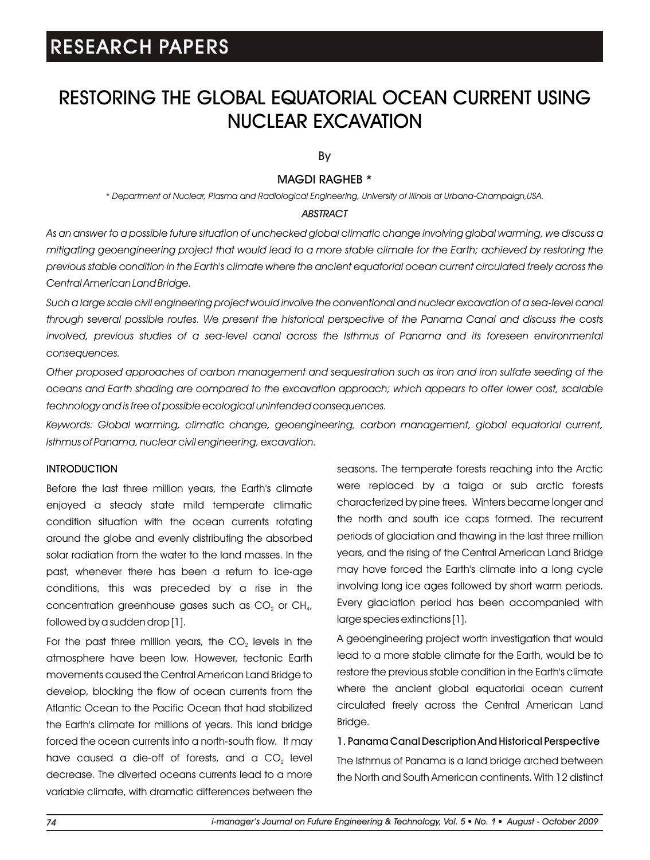### RESTORING THE GLOBAL EQUATORIAL OCEAN CURRENT USING NUCLEAR EXCAVATION

By

### MAGDI RAGHEB \*

*\* Department of Nuclear, Plasma and Radiological Engineering, University of Illinois at Urbana-Champaign,USA.*

#### *ABSTRACT*

*As an answer to a possible future situation of unchecked global climatic change involving global warming, we discuss a mitigating geoengineering project that would lead to a more stable climate for the Earth; achieved by restoring the previous stable condition in the Earth's climate where the ancient equatorial ocean current circulated freely across the Central American Land Bridge.*

*Such a large scale civil engineering project would involve the conventional and nuclear excavation of a sea-level canal through several possible routes. We present the historical perspective of the Panama Canal and discuss the costs involved, previous studies of a sea-level canal across the Isthmus of Panama and its foreseen environmental consequences.*

*Other proposed approaches of carbon management and sequestration such as iron and iron sulfate seeding of the oceans and Earth shading are compared to the excavation approach; which appears to offer lower cost, scalable technology and is free of possible ecological unintended consequences.*

*Keywords: Global warming, climatic change, geoengineering, carbon management, global equatorial current, Isthmus of Panama, nuclear civil engineering, excavation.*

### **INTRODUCTION**

Before the last three million years, the Earth's climate enjoyed a steady state mild temperate climatic condition situation with the ocean currents rotating around the globe and evenly distributing the absorbed solar radiation from the water to the land masses. In the past, whenever there has been a return to ice-age conditions, this was preceded by a rise in the concentration greenhouse gases such as  $CO<sub>2</sub>$  or  $CH<sub>4</sub>$ , followed by a sudden drop [1].

For the past three million years, the  $CO<sub>2</sub>$  levels in the atmosphere have been low. However, tectonic Earth movements caused the Central American Land Bridge to develop, blocking the flow of ocean currents from the Atlantic Ocean to the Pacific Ocean that had stabilized the Earth's climate for millions of years. This land bridge forced the ocean currents into a north-south flow. It may have caused a die-off of forests, and a CO<sub>2</sub> level decrease. The diverted oceans currents lead to a more variable climate, with dramatic differences between the seasons. The temperate forests reaching into the Arctic were replaced by a taiga or sub arctic forests characterized by pine trees. Winters became longer and the north and south ice caps formed. The recurrent periods of glaciation and thawing in the last three million years, and the rising of the Central American Land Bridge may have forced the Earth's climate into a long cycle involving long ice ages followed by short warm periods. Every glaciation period has been accompanied with large species extinctions [1].

A geoengineering project worth investigation that would lead to a more stable climate for the Earth, would be to restore the previous stable condition in the Earth's climate where the ancient global equatorial ocean current circulated freely across the Central American Land Bridge.

1. Panama Canal Description And Historical Perspective The Isthmus of Panama is a land bridge arched between the North and South American continents. With 12 distinct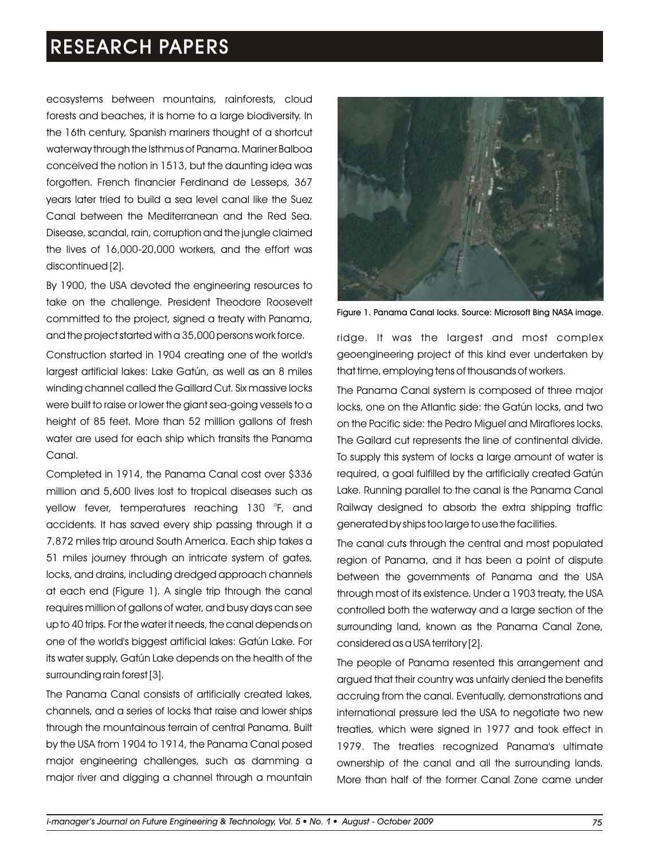ecosystems between mountains, rainforests, cloud forests and beaches, it is home to a large biodiversity. In the 16th century, Spanish mariners thought of a shortcut waterway through the Isthmus of Panama. Mariner Balboa conceived the notion in 1513, but the daunting idea was forgotten. French financier Ferdinand de Lesseps, 367 years later tried to build a sea level canal like the Suez Canal between the Mediterranean and the Red Sea. Disease, scandal, rain, corruption and the jungle claimed the lives of 16,000-20,000 workers, and the effort was discontinued [2].

By 1900, the USA devoted the engineering resources to take on the challenge. President Theodore Roosevelt committed to the project, signed a treaty with Panama, and the project started with a 35,000 persons work force.

Construction started in 1904 creating one of the world's largest artificial lakes: Lake Gatún, as well as an 8 miles winding channel called the Gaillard Cut. Six massive locks were built to raise or lower the giant sea-going vessels to a height of 85 feet. More than 52 million gallons of fresh water are used for each ship which transits the Panama Canal.

Completed in 1914, the Panama Canal cost over \$336 million and 5,600 lives lost to tropical diseases such as yellow fever, temperatures reaching 130 °F, and accidents. It has saved every ship passing through it a 7,872 miles trip around South America. Each ship takes a 51 miles journey through an intricate system of gates, locks, and drains, including dredged approach channels at each end (Figure 1). A single trip through the canal requires million of gallons of water, and busy days can see up to 40 trips. For the water it needs, the canal depends on one of the world's biggest artificial lakes: Gatún Lake. For its water supply, Gatún Lake depends on the health of the surrounding rain forest [3].

The Panama Canal consists of artificially created lakes, channels, and a series of locks that raise and lower ships through the mountainous terrain of central Panama. Built by the USA from 1904 to 1914, the Panama Canal posed major engineering challenges, such as damming a major river and digging a channel through a mountain



Figure 1. Panama Canal locks. Source: Microsoft Bing NASA image.

ridge. It was the largest and most complex geoengineering project of this kind ever undertaken by that time, employing tens of thousands of workers.

The Panama Canal system is composed of three major locks, one on the Atlantic side: the Gatún locks, and two on the Pacific side: the Pedro Miguel and Miraflores locks. The Gailard cut represents the line of continental divide. To supply this system of locks a large amount of water is required, a goal fulfilled by the artificially created Gatún Lake. Running parallel to the canal is the Panama Canal Railway designed to absorb the extra shipping traffic generated by ships too large to use the facilities.

The canal cuts through the central and most populated region of Panama, and it has been a point of dispute between the governments of Panama and the USA through most of its existence. Under a 1903 treaty, the USA controlled both the waterway and a large section of the surrounding land, known as the Panama Canal Zone, considered as a USA territory [2].

The people of Panama resented this arrangement and argued that their country was unfairly denied the benefits accruing from the canal. Eventually, demonstrations and international pressure led the USA to negotiate two new treaties, which were signed in 1977 and took effect in 1979. The treaties recognized Panama's ultimate ownership of the canal and all the surrounding lands. More than half of the former Canal Zone came under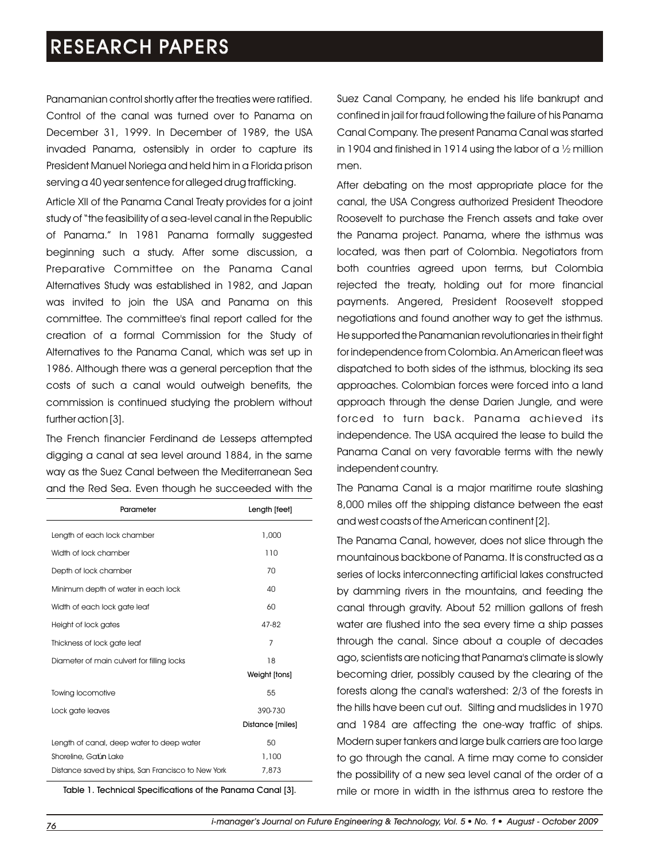Panamanian control shortly after the treaties were ratified. Control of the canal was turned over to Panama on December 31, 1999. In December of 1989, the USA invaded Panama, ostensibly in order to capture its President Manuel Noriega and held him in a Florida prison serving a 40 year sentence for alleged drug trafficking.

Article XII of the Panama Canal Treaty provides for a joint study of "the feasibility of a sea-level canal in the Republic of Panama." In 1981 Panama formally suggested beginning such a study. After some discussion, a Preparative Committee on the Panama Canal Alternatives Study was established in 1982, and Japan was invited to join the USA and Panama on this committee. The committee's final report called for the creation of a formal Commission for the Study of Alternatives to the Panama Canal, which was set up in 1986. Although there was a general perception that the costs of such a canal would outweigh benefits, the commission is continued studying the problem without further action [3].

The French financier Ferdinand de Lesseps attempted digging a canal at sea level around 1884, in the same way as the Suez Canal between the Mediterranean Sea and the Red Sea. Even though he succeeded with the

| Parameter                                          | Length [feet]    |
|----------------------------------------------------|------------------|
| Length of each lock chamber                        | 1,000            |
| Width of lock chamber                              | 110              |
| Depth of lock chamber                              | 70               |
| Minimum depth of water in each lock                | 40               |
| Width of each lock gate leaf                       | 60               |
| Height of lock gates                               | 47-82            |
| Thickness of lock gate leaf                        | $\overline{7}$   |
| 18<br>Diameter of main culvert for filling locks   |                  |
|                                                    | Weight [tons]    |
| <b>Towing locomotive</b>                           | 55               |
| Lock gate leaves                                   | 390-730          |
|                                                    | Distance [miles] |
| Length of canal, deep water to deep water          | 50               |
| Shoreline, Gatún Lake                              | 1,100            |
| Distance saved by ships, San Francisco to New York | 7,873            |

Suez Canal Company, he ended his life bankrupt and confined in jail for fraud following the failure of his Panama Canal Company. The present Panama Canal was started in 1904 and finished in 1914 using the labor of a  $\frac{1}{2}$  million men.

After debating on the most appropriate place for the canal, the USA Congress authorized President Theodore Roosevelt to purchase the French assets and take over the Panama project. Panama, where the isthmus was located, was then part of Colombia. Negotiators from both countries agreed upon terms, but Colombia rejected the treaty, holding out for more financial payments. Angered, President Roosevelt stopped negotiations and found another way to get the isthmus. He supported the Panamanian revolutionaries in their fight for independence from Colombia. An American fleet was dispatched to both sides of the isthmus, blocking its sea approaches. Colombian forces were forced into a land approach through the dense Darien Jungle, and were forced to turn back. Panama achieved its independence. The USA acquired the lease to build the Panama Canal on very favorable terms with the newly independent country.

The Panama Canal is a major maritime route slashing 8,000 miles off the shipping distance between the east and west coasts of the American continent [2].

The Panama Canal, however, does not slice through the mountainous backbone of Panama. It is constructed as a series of locks interconnecting artificial lakes constructed by damming rivers in the mountains, and feeding the canal through gravity. About 52 million gallons of fresh water are flushed into the sea every time a ship passes through the canal. Since about a couple of decades ago, scientists are noticing that Panama's climate is slowly becoming drier, possibly caused by the clearing of the forests along the canal's watershed: 2/3 of the forests in the hills have been cut out. Silting and mudslides in 1970 and 1984 are affecting the one-way traffic of ships. Modern super tankers and large bulk carriers are too large to go through the canal. A time may come to consider the possibility of a new sea level canal of the order of a Table 1. Technical Specifications of the Panama Canal [3]. mile or more in width in the isthmus area to restore the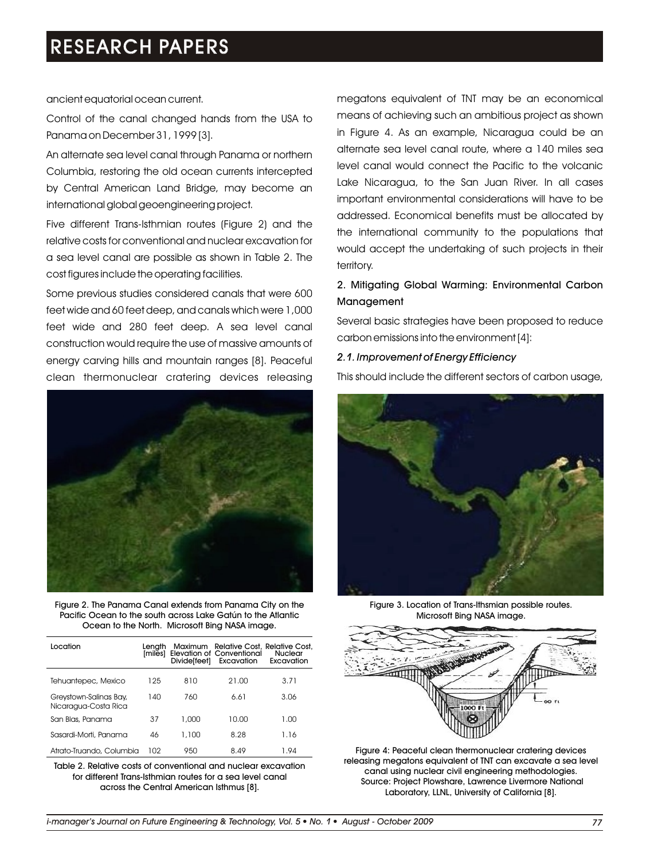ancient equatorial ocean current.

Control of the canal changed hands from the USA to Panama on December 31, 1999 [3].

An alternate sea level canal through Panama or northern Columbia, restoring the old ocean currents intercepted by Central American Land Bridge, may become an international global geoengineering project.

Five different Trans-Isthmian routes (Figure 2) and the relative costs for conventional and nuclear excavation for a sea level canal are possible as shown in Table 2. The cost figures include the operating facilities.

Some previous studies considered canals that were 600 feet wide and 60 feet deep, and canals which were 1,000 feet wide and 280 feet deep. A sea level canal construction would require the use of massive amounts of energy carving hills and mountain ranges [8]. Peaceful clean thermonuclear cratering devices releasing



Figure 2. The Panama Canal extends from Panama City on the Pacific Ocean to the south across Lake Gatún to the Atlantic Ocean to the North. Microsoft Bing NASA image.

| Location                                       | Lenath<br><b>Imiles1</b> | Divide[feet] | Maximum Relative Cost, Relative Cost,<br><b>Elevation of Conventional</b><br>Excavation | Nuclear<br>Excavation |
|------------------------------------------------|--------------------------|--------------|-----------------------------------------------------------------------------------------|-----------------------|
| Tehuantepec, Mexico                            | 125                      | 810          | 21.00                                                                                   | 3.71                  |
| Greystown-Salinas Bay,<br>Nicaragua-Costa Rica | 140                      | 760          | 6.61                                                                                    | 3.06                  |
| San Blas, Panama                               | 37                       | 1.000        | 10.00                                                                                   | 1.00                  |
| Sasardi-Morti, Panama                          | 46                       | 1,100        | 8.28                                                                                    | 1.16                  |
| Atrato-Truando, Columbia                       | 102                      | 950          | 8.49                                                                                    | 1.94                  |

Table 2. Relative costs of conventional and nuclear excavation for different Trans-Isthmian routes for a sea level canal across the Central American Isthmus [8].

megatons equivalent of TNT may be an economical means of achieving such an ambitious project as shown in Figure 4. As an example, Nicaragua could be an alternate sea level canal route, where a 140 miles sea level canal would connect the Pacific to the volcanic Lake Nicaragua, to the San Juan River. In all cases important environmental considerations will have to be addressed. Economical benefits must be allocated by the international community to the populations that would accept the undertaking of such projects in their territory.

### 2. Mitigating Global Warming: Environmental Carbon Management

Several basic strategies have been proposed to reduce carbon emissions into the environment [4]:

#### *2.1. Improvement of Energy Efficiency*

This should include the different sectors of carbon usage,



Figure 3. Location of Trans-Ithsmian possible routes. Microsoft Bing NASA image.



Figure 4: Peaceful clean thermonuclear cratering devices releasing megatons equivalent of TNT can excavate a sea level canal using nuclear civil engineering methodologies. Source: Project Plowshare, Lawrence Livermore National Laboratory, LLNL, University of California [8].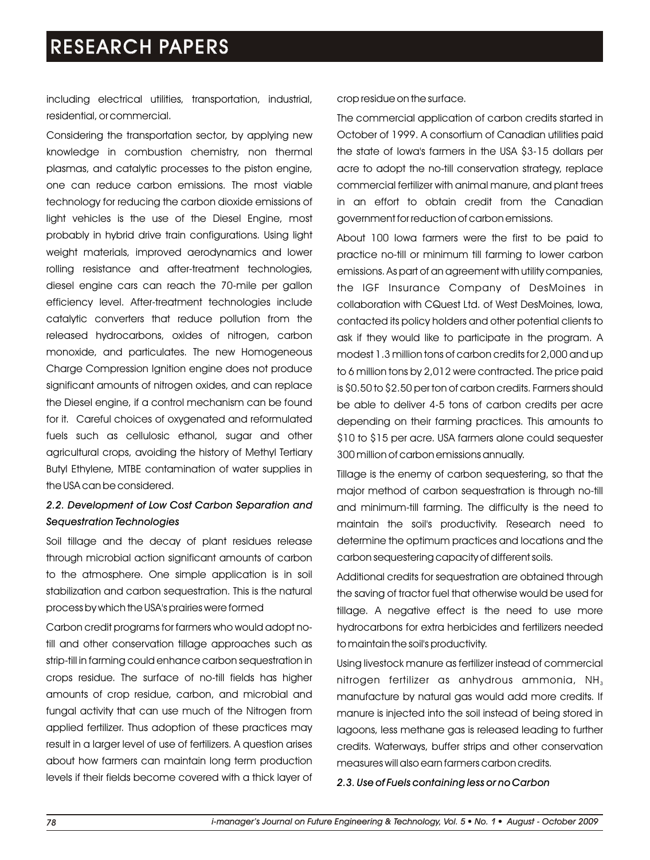including electrical utilities, transportation, industrial, residential, or commercial.

Considering the transportation sector, by applying new knowledge in combustion chemistry, non thermal plasmas, and catalytic processes to the piston engine, one can reduce carbon emissions. The most viable technology for reducing the carbon dioxide emissions of light vehicles is the use of the Diesel Engine, most probably in hybrid drive train configurations. Using light weight materials, improved aerodynamics and lower rolling resistance and after-treatment technologies, diesel engine cars can reach the 70-mile per gallon efficiency level. After-treatment technologies include catalytic converters that reduce pollution from the released hydrocarbons, oxides of nitrogen, carbon monoxide, and particulates. The new Homogeneous Charge Compression Ignition engine does not produce significant amounts of nitrogen oxides, and can replace the Diesel engine, if a control mechanism can be found for it. Careful choices of oxygenated and reformulated fuels such as cellulosic ethanol, sugar and other agricultural crops, avoiding the history of Methyl Tertiary Butyl Ethylene, MTBE contamination of water supplies in the USA can be considered.

### *2.2. Development of Low Cost Carbon Separation and Sequestration Technologies*

Soil tillage and the decay of plant residues release through microbial action significant amounts of carbon to the atmosphere. One simple application is in soil stabilization and carbon sequestration. This is the natural process by which the USA's prairies were formed

Carbon credit programs for farmers who would adopt notill and other conservation tillage approaches such as strip-till in farming could enhance carbon sequestration in crops residue. The surface of no-till fields has higher amounts of crop residue, carbon, and microbial and fungal activity that can use much of the Nitrogen from applied fertilizer. Thus adoption of these practices may result in a larger level of use of fertilizers. A question arises about how farmers can maintain long term production levels if their fields become covered with a thick layer of crop residue on the surface.

The commercial application of carbon credits started in October of 1999. A consortium of Canadian utilities paid the state of Iowa's farmers in the USA \$3-15 dollars per acre to adopt the no-till conservation strategy, replace commercial fertilizer with animal manure, and plant trees in an effort to obtain credit from the Canadian government for reduction of carbon emissions.

About 100 Iowa farmers were the first to be paid to practice no-till or minimum till farming to lower carbon emissions. As part of an agreement with utility companies, the IGF Insurance Company of DesMoines in collaboration with CQuest Ltd. of West DesMoines, Iowa, contacted its policy holders and other potential clients to ask if they would like to participate in the program. A modest 1.3 million tons of carbon credits for 2,000 and up to 6 million tons by 2,012 were contracted. The price paid is \$0.50 to \$2.50 per ton of carbon credits. Farmers should be able to deliver 4-5 tons of carbon credits per acre depending on their farming practices. This amounts to \$10 to \$15 per acre. USA farmers alone could sequester 300 million of carbon emissions annually.

Tillage is the enemy of carbon sequestering, so that the major method of carbon sequestration is through no-till and minimum-till farming. The difficulty is the need to maintain the soil's productivity. Research need to determine the optimum practices and locations and the carbon sequestering capacity of different soils.

Additional credits for sequestration are obtained through the saving of tractor fuel that otherwise would be used for tillage. A negative effect is the need to use more hydrocarbons for extra herbicides and fertilizers needed to maintain the soil's productivity.

Using livestock manure as fertilizer instead of commercial nitrogen fertilizer as anhydrous ammonia,  $NH<sub>3</sub>$ manufacture by natural gas would add more credits. If manure is injected into the soil instead of being stored in lagoons, less methane gas is released leading to further credits. Waterways, buffer strips and other conservation measures will also earn farmers carbon credits.

*2.3. Use of Fuels containing less or no Carbon*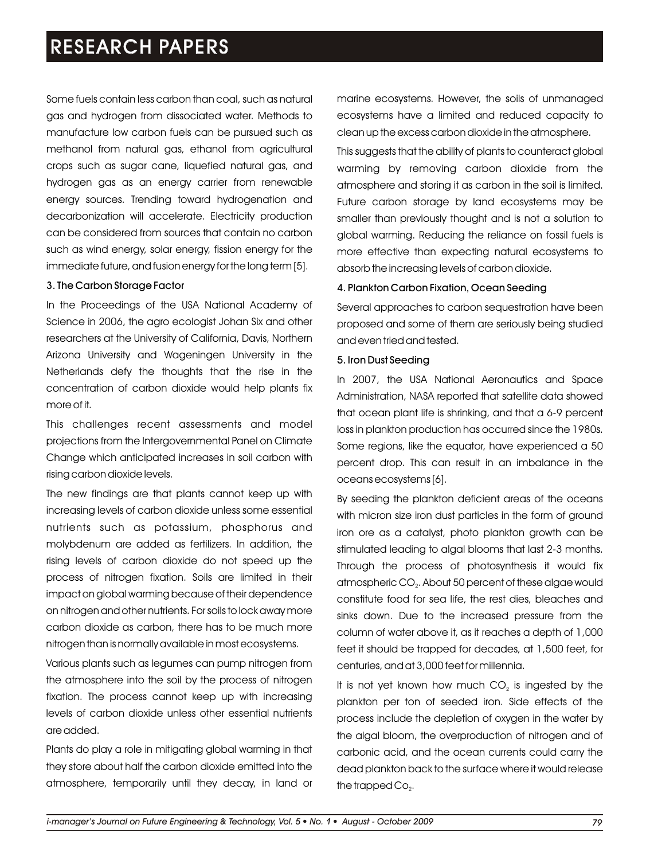Some fuels contain less carbon than coal, such as natural gas and hydrogen from dissociated water. Methods to manufacture low carbon fuels can be pursued such as methanol from natural gas, ethanol from agricultural crops such as sugar cane, liquefied natural gas, and hydrogen gas as an energy carrier from renewable energy sources. Trending toward hydrogenation and decarbonization will accelerate. Electricity production can be considered from sources that contain no carbon such as wind energy, solar energy, fission energy for the immediate future, and fusion energy for the long term [5].

### 3. The Carbon Storage Factor

In the Proceedings of the USA National Academy of Science in 2006, the agro ecologist Johan Six and other researchers at the University of California, Davis, Northern Arizona University and Wageningen University in the Netherlands defy the thoughts that the rise in the concentration of carbon dioxide would help plants fix more of it.

This challenges recent assessments and model projections from the Intergovernmental Panel on Climate Change which anticipated increases in soil carbon with rising carbon dioxide levels.

The new findings are that plants cannot keep up with increasing levels of carbon dioxide unless some essential nutrients such as potassium, phosphorus and molybdenum are added as fertilizers. In addition, the rising levels of carbon dioxide do not speed up the process of nitrogen fixation. Soils are limited in their impact on global warming because of their dependence on nitrogen and other nutrients. For soils to lock away more carbon dioxide as carbon, there has to be much more nitrogen than is normally available in most ecosystems.

Various plants such as legumes can pump nitrogen from the atmosphere into the soil by the process of nitrogen fixation. The process cannot keep up with increasing levels of carbon dioxide unless other essential nutrients are added.

Plants do play a role in mitigating global warming in that they store about half the carbon dioxide emitted into the atmosphere, temporarily until they decay, in land or marine ecosystems. However, the soils of unmanaged ecosystems have a limited and reduced capacity to clean up the excess carbon dioxide in the atmosphere.

This suggests that the ability of plants to counteract global warming by removing carbon dioxide from the atmosphere and storing it as carbon in the soil is limited. Future carbon storage by land ecosystems may be smaller than previously thought and is not a solution to global warming. Reducing the reliance on fossil fuels is more effective than expecting natural ecosystems to absorb the increasing levels of carbon dioxide.

### 4. Plankton Carbon Fixation, Ocean Seeding

Several approaches to carbon sequestration have been proposed and some of them are seriously being studied and even tried and tested.

#### 5. Iron Dust Seeding

In 2007, the USA National Aeronautics and Space Administration, NASA reported that satellite data showed that ocean plant life is shrinking, and that a 6-9 percent loss in plankton production has occurred since the 1980s. Some regions, like the equator, have experienced a 50 percent drop. This can result in an imbalance in the oceans ecosystems [6].

By seeding the plankton deficient areas of the oceans with micron size iron dust particles in the form of ground iron ore as a catalyst, photo plankton growth can be stimulated leading to algal blooms that last 2-3 months. Through the process of photosynthesis it would fix atmospheric CO<sub>2</sub>. About 50 percent of these algae would constitute food for sea life, the rest dies, bleaches and sinks down. Due to the increased pressure from the column of water above it, as it reaches a depth of 1,000 feet it should be trapped for decades, at 1,500 feet, for centuries, and at 3,000 feet for millennia.

It is not yet known how much  $CO<sub>2</sub>$  is ingested by the plankton per ton of seeded iron. Side effects of the process include the depletion of oxygen in the water by the algal bloom, the overproduction of nitrogen and of carbonic acid, and the ocean currents could carry the dead plankton back to the surface where it would release the trapped  $Co<sub>2</sub>$ .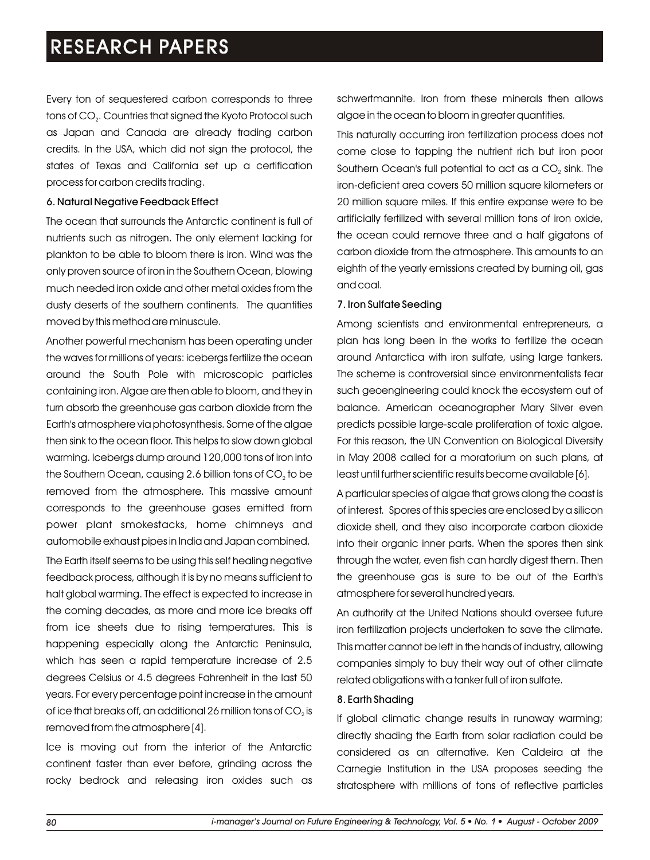Every ton of sequestered carbon corresponds to three tons of CO<sub>2</sub>. Countries that signed the Kyoto Protocol such as Japan and Canada are already trading carbon credits. In the USA, which did not sign the protocol, the states of Texas and California set up a certification process for carbon credits trading.

### 6. Natural Negative Feedback Effect

The ocean that surrounds the Antarctic continent is full of nutrients such as nitrogen. The only element lacking for plankton to be able to bloom there is iron. Wind was the only proven source of iron in the Southern Ocean, blowing much needed iron oxide and other metal oxides from the dusty deserts of the southern continents. The quantities moved by this method are minuscule.

Another powerful mechanism has been operating under the waves for millions of years: icebergs fertilize the ocean around the South Pole with microscopic particles containing iron. Algae are then able to bloom, and they in turn absorb the greenhouse gas carbon dioxide from the Earth's atmosphere via photosynthesis. Some of the algae then sink to the ocean floor. This helps to slow down global warming. Icebergs dump around 120,000 tons of iron into the Southern Ocean, causing 2.6 billion tons of CO<sub>2</sub> to be removed from the atmosphere. This massive amount corresponds to the greenhouse gases emitted from power plant smokestacks, home chimneys and automobile exhaust pipes in India and Japan combined.

The Earth itself seems to be using this self healing negative feedback process, although it is by no means sufficient to halt global warming. The effect is expected to increase in the coming decades, as more and more ice breaks off from ice sheets due to rising temperatures. This is happening especially along the Antarctic Peninsula, which has seen a rapid temperature increase of 2.5 degrees Celsius or 4.5 degrees Fahrenheit in the last 50 years. For every percentage point increase in the amount of ice that breaks off, an additional 26 million tons of  $CO<sub>2</sub>$  is removed from the atmosphere [4].

Ice is moving out from the interior of the Antarctic continent faster than ever before, grinding across the rocky bedrock and releasing iron oxides such as schwertmannite. Iron from these minerals then allows algae in the ocean to bloom in greater quantities.

This naturally occurring iron fertilization process does not come close to tapping the nutrient rich but iron poor Southern Ocean's full potential to act as a CO<sub>2</sub> sink. The iron-deficient area covers 50 million square kilometers or 20 million square miles. If this entire expanse were to be artificially fertilized with several million tons of iron oxide, the ocean could remove three and a half gigatons of carbon dioxide from the atmosphere. This amounts to an eighth of the yearly emissions created by burning oil, gas and coal.

### 7. Iron Sulfate Seeding

Among scientists and environmental entrepreneurs, a plan has long been in the works to fertilize the ocean around Antarctica with iron sulfate, using large tankers. The scheme is controversial since environmentalists fear such geoengineering could knock the ecosystem out of balance. American oceanographer Mary Silver even predicts possible large-scale proliferation of toxic algae. For this reason, the UN Convention on Biological Diversity in May 2008 called for a moratorium on such plans, at least until further scientific results become available [6].

A particular species of algae that grows along the coast is of interest. Spores of this species are enclosed by a silicon dioxide shell, and they also incorporate carbon dioxide into their organic inner parts. When the spores then sink through the water, even fish can hardly digest them. Then the greenhouse gas is sure to be out of the Earth's atmosphere for several hundred years.

An authority at the United Nations should oversee future iron fertilization projects undertaken to save the climate. This matter cannot be left in the hands of industry, allowing companies simply to buy their way out of other climate related obligations with a tanker full of iron sulfate.

### 8. Earth Shading

If global climatic change results in runaway warming; directly shading the Earth from solar radiation could be considered as an alternative. Ken Caldeira at the Carnegie Institution in the USA proposes seeding the stratosphere with millions of tons of reflective particles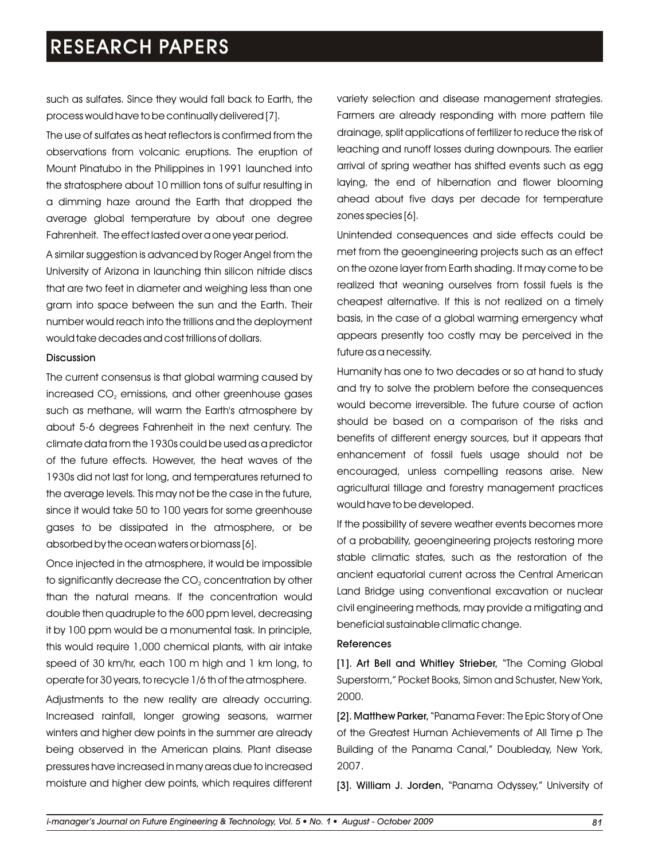such as sulfates. Since they would fall back to Earth, the process would have to be continually delivered [7].

The use of sulfates as heat reflectors is confirmed from the observations from volcanic eruptions. The eruption of Mount Pinatubo in the Philippines in 1991 launched into the stratosphere about 10 million tons of sulfur resulting in a dimming haze around the Earth that dropped the average global temperature by about one degree Fahrenheit. The effect lasted over a one year period.

A similar suggestion is advanced by Roger Angel from the University of Arizona in launching thin silicon nitride discs that are two feet in diameter and weighing less than one gram into space between the sun and the Earth. Their number would reach into the trillions and the deployment would take decades and cost trillions of dollars.

#### Discussion

The current consensus is that global warming caused by increased CO<sub>2</sub> emissions, and other greenhouse gases such as methane, will warm the Earth's atmosphere by about 5-6 degrees Fahrenheit in the next century. The climate data from the 1930s could be used as a predictor of the future effects. However, the heat waves of the 1930s did not last for long, and temperatures returned to the average levels. This may not be the case in the future, since it would take 50 to 100 years for some greenhouse gases to be dissipated in the atmosphere, or be absorbed by the ocean waters or biomass [6].

Once injected in the atmosphere, it would be impossible to significantly decrease the CO<sub>2</sub> concentration by other than the natural means. If the concentration would double then quadruple to the 600 ppm level, decreasing it by 100 ppm would be a monumental task. In principle, this would require 1,000 chemical plants, with air intake speed of 30 km/hr, each 100 m high and 1 km long, to operate for 30 years, to recycle 1/6 th of the atmosphere.

Adjustments to the new reality are already occurring. Increased rainfall, longer growing seasons, warmer winters and higher dew points in the summer are already being observed in the American plains. Plant disease pressures have increased in many areas due to increased moisture and higher dew points, which requires different variety selection and disease management strategies. Farmers are already responding with more pattern tile drainage, split applications of fertilizer to reduce the risk of leaching and runoff losses during downpours. The earlier arrival of spring weather has shifted events such as egg laying, the end of hibernation and flower blooming ahead about five days per decade for temperature zones species [6].

Unintended consequences and side effects could be met from the geoengineering projects such as an effect on the ozone layer from Earth shading. It may come to be realized that weaning ourselves from fossil fuels is the cheapest alternative. If this is not realized on a timely basis, in the case of a global warming emergency what appears presently too costly may be perceived in the future as a necessity.

Humanity has one to two decades or so at hand to study and try to solve the problem before the consequences would become irreversible. The future course of action should be based on a comparison of the risks and benefits of different energy sources, but it appears that enhancement of fossil fuels usage should not be encouraged, unless compelling reasons arise. New agricultural tillage and forestry management practices would have to be developed.

If the possibility of severe weather events becomes more of a probability, geoengineering projects restoring more stable climatic states, such as the restoration of the ancient equatorial current across the Central American Land Bridge using conventional excavation or nuclear civil engineering methods, may provide a mitigating and beneficial sustainable climatic change.

#### References

[1]. Art Bell and Whitley Strieber, "The Coming Global Superstorm," Pocket Books, Simon and Schuster, New York, 2000.

[2]. Matthew Parker, "Panama Fever: The Epic Story of One of the Greatest Human Achievements of All Time p The Building of the Panama Canal," Doubleday, New York, 2007.

[3]. William J. Jorden, "Panama Odyssey," University of